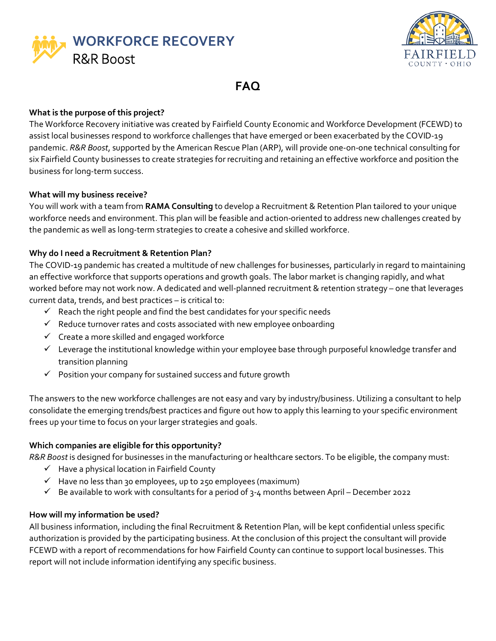



**FAQ**

## **What is the purpose of this project?**

The Workforce Recovery initiative was created by Fairfield County Economic and Workforce Development (FCEWD) to assist local businesses respond to workforce challenges that have emerged or been exacerbated by the COVID-19 pandemic. *R&R Boost*, supported by the American Rescue Plan (ARP), will provide one-on-one technical consulting for six Fairfield County businesses to create strategies for recruiting and retaining an effective workforce and position the business for long-term success.

## **What will my business receive?**

You will work with a team from **RAMA Consulting** to develop a Recruitment & Retention Plan tailored to your unique workforce needs and environment. This plan will be feasible and action-oriented to address new challenges created by the pandemic as well as long-term strategies to create a cohesive and skilled workforce.

# **Why do I need a Recruitment & Retention Plan?**

The COVID-19 pandemic has created a multitude of new challenges for businesses, particularly in regard to maintaining an effective workforce that supports operations and growth goals. The labor market is changing rapidly, and what worked before may not work now. A dedicated and well-planned recruitment & retention strategy – one that leverages current data, trends, and best practices – is critical to:

- $\checkmark$  Reach the right people and find the best candidates for your specific needs
- $\checkmark$  Reduce turnover rates and costs associated with new employee onboarding
- $\checkmark$  Create a more skilled and engaged workforce
- $\checkmark$  Leverage the institutional knowledge within your employee base through purposeful knowledge transfer and transition planning
- $\checkmark$  Position your company for sustained success and future growth

The answers to the new workforce challenges are not easy and vary by industry/business. Utilizing a consultant to help consolidate the emerging trends/best practices and figure out how to apply this learning to your specific environment frees up your time to focus on your larger strategies and goals.

# **Which companies are eligible for this opportunity?**

*R&R Boost* is designed for businesses in the manufacturing or healthcare sectors. To be eligible, the company must:

- $\checkmark$  Have a physical location in Fairfield County
- $\checkmark$  Have no less than 30 employees, up to 250 employees (maximum)
- $\checkmark$  Be available to work with consultants for a period of 3-4 months between April December 2022

## **How will my information be used?**

All business information, including the final Recruitment & Retention Plan, will be kept confidential unless specific authorization is provided by the participating business. At the conclusion of this project the consultant will provide FCEWD with a report of recommendations for how Fairfield County can continue to support local businesses. This report will not include information identifying any specific business.